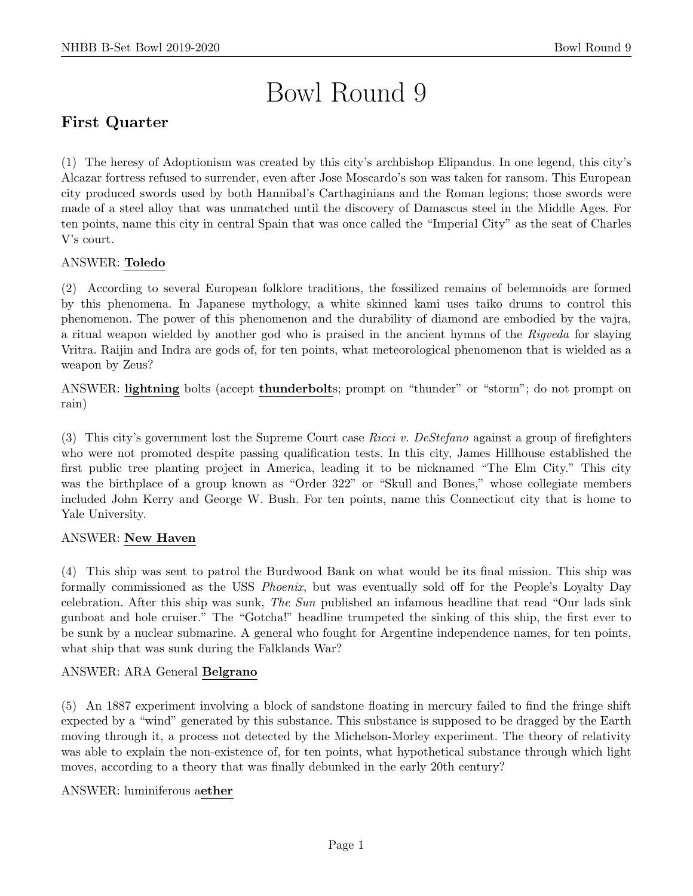# Bowl Round 9

# First Quarter

(1) The heresy of Adoptionism was created by this city's archbishop Elipandus. In one legend, this city's Alcazar fortress refused to surrender, even after Jose Moscardo's son was taken for ransom. This European city produced swords used by both Hannibal's Carthaginians and the Roman legions; those swords were made of a steel alloy that was unmatched until the discovery of Damascus steel in the Middle Ages. For ten points, name this city in central Spain that was once called the "Imperial City" as the seat of Charles V's court.

## ANSWER: Toledo

(2) According to several European folklore traditions, the fossilized remains of belemnoids are formed by this phenomena. In Japanese mythology, a white skinned kami uses taiko drums to control this phenomenon. The power of this phenomenon and the durability of diamond are embodied by the vajra, a ritual weapon wielded by another god who is praised in the ancient hymns of the Rigveda for slaying Vritra. Raijin and Indra are gods of, for ten points, what meteorological phenomenon that is wielded as a weapon by Zeus?

ANSWER: lightning bolts (accept thunderbolts; prompt on "thunder" or "storm"; do not prompt on rain)

(3) This city's government lost the Supreme Court case Ricci v. DeStefano against a group of firefighters who were not promoted despite passing qualification tests. In this city, James Hillhouse established the first public tree planting project in America, leading it to be nicknamed "The Elm City." This city was the birthplace of a group known as "Order 322" or "Skull and Bones," whose collegiate members included John Kerry and George W. Bush. For ten points, name this Connecticut city that is home to Yale University.

## ANSWER: New Haven

(4) This ship was sent to patrol the Burdwood Bank on what would be its final mission. This ship was formally commissioned as the USS Phoenix, but was eventually sold off for the People's Loyalty Day celebration. After this ship was sunk, The Sun published an infamous headline that read "Our lads sink gunboat and hole cruiser." The "Gotcha!" headline trumpeted the sinking of this ship, the first ever to be sunk by a nuclear submarine. A general who fought for Argentine independence names, for ten points, what ship that was sunk during the Falklands War?

## ANSWER: ARA General Belgrano

(5) An 1887 experiment involving a block of sandstone floating in mercury failed to find the fringe shift expected by a "wind" generated by this substance. This substance is supposed to be dragged by the Earth moving through it, a process not detected by the Michelson-Morley experiment. The theory of relativity was able to explain the non-existence of, for ten points, what hypothetical substance through which light moves, according to a theory that was finally debunked in the early 20th century?

## ANSWER: luminiferous aether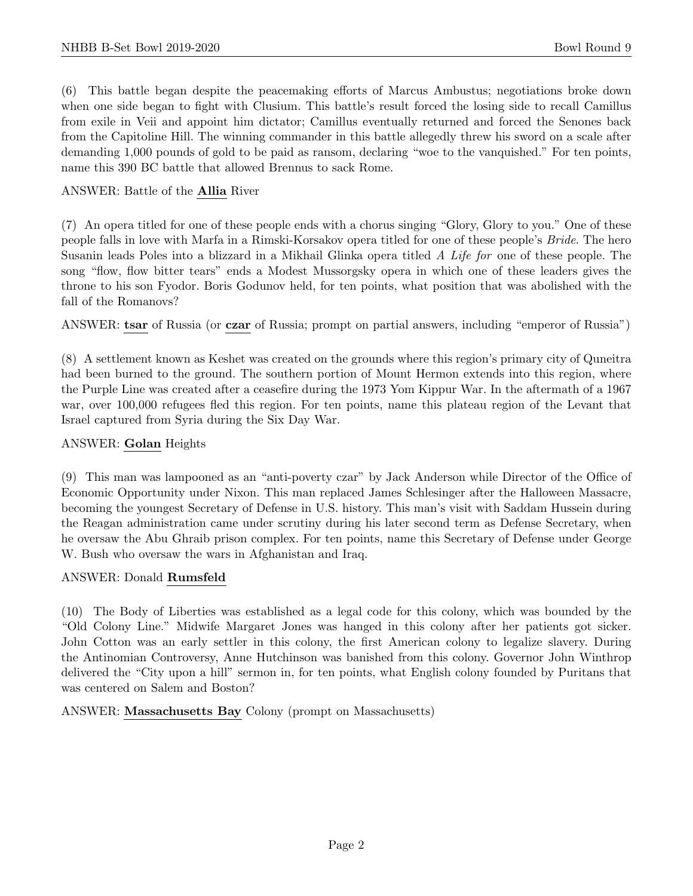(6) This battle began despite the peacemaking efforts of Marcus Ambustus; negotiations broke down when one side began to fight with Clusium. This battle's result forced the losing side to recall Camillus from exile in Veii and appoint him dictator; Camillus eventually returned and forced the Senones back from the Capitoline Hill. The winning commander in this battle allegedly threw his sword on a scale after demanding 1,000 pounds of gold to be paid as ransom, declaring "woe to the vanquished." For ten points, name this 390 BC battle that allowed Brennus to sack Rome.

## ANSWER: Battle of the Allia River

(7) An opera titled for one of these people ends with a chorus singing "Glory, Glory to you." One of these people falls in love with Marfa in a Rimski-Korsakov opera titled for one of these people's Bride. The hero Susanin leads Poles into a blizzard in a Mikhail Glinka opera titled A Life for one of these people. The song "flow, flow bitter tears" ends a Modest Mussorgsky opera in which one of these leaders gives the throne to his son Fyodor. Boris Godunov held, for ten points, what position that was abolished with the fall of the Romanovs?

ANSWER: tsar of Russia (or czar of Russia; prompt on partial answers, including "emperor of Russia")

(8) A settlement known as Keshet was created on the grounds where this region's primary city of Quneitra had been burned to the ground. The southern portion of Mount Hermon extends into this region, where the Purple Line was created after a ceasefire during the 1973 Yom Kippur War. In the aftermath of a 1967 war, over 100,000 refugees fled this region. For ten points, name this plateau region of the Levant that Israel captured from Syria during the Six Day War.

## ANSWER: Golan Heights

(9) This man was lampooned as an "anti-poverty czar" by Jack Anderson while Director of the Office of Economic Opportunity under Nixon. This man replaced James Schlesinger after the Halloween Massacre, becoming the youngest Secretary of Defense in U.S. history. This man's visit with Saddam Hussein during the Reagan administration came under scrutiny during his later second term as Defense Secretary, when he oversaw the Abu Ghraib prison complex. For ten points, name this Secretary of Defense under George W. Bush who oversaw the wars in Afghanistan and Iraq.

## ANSWER: Donald Rumsfeld

(10) The Body of Liberties was established as a legal code for this colony, which was bounded by the "Old Colony Line." Midwife Margaret Jones was hanged in this colony after her patients got sicker. John Cotton was an early settler in this colony, the first American colony to legalize slavery. During the Antinomian Controversy, Anne Hutchinson was banished from this colony. Governor John Winthrop delivered the "City upon a hill" sermon in, for ten points, what English colony founded by Puritans that was centered on Salem and Boston?

ANSWER: Massachusetts Bay Colony (prompt on Massachusetts)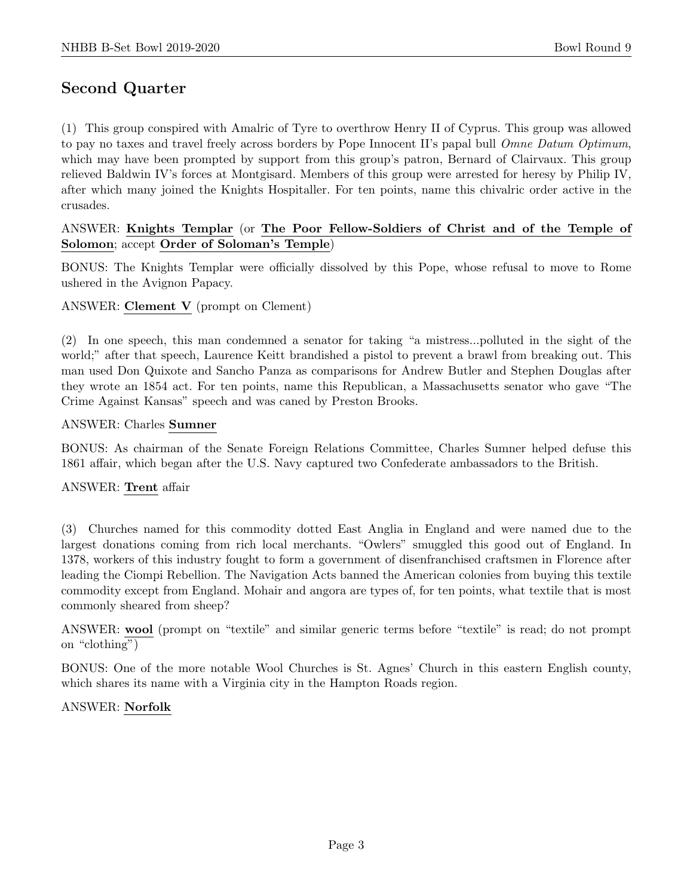# Second Quarter

(1) This group conspired with Amalric of Tyre to overthrow Henry II of Cyprus. This group was allowed to pay no taxes and travel freely across borders by Pope Innocent II's papal bull *Omne Datum Optimum*, which may have been prompted by support from this group's patron, Bernard of Clairvaux. This group relieved Baldwin IV's forces at Montgisard. Members of this group were arrested for heresy by Philip IV, after which many joined the Knights Hospitaller. For ten points, name this chivalric order active in the crusades.

## ANSWER: Knights Templar (or The Poor Fellow-Soldiers of Christ and of the Temple of Solomon; accept Order of Soloman's Temple)

BONUS: The Knights Templar were officially dissolved by this Pope, whose refusal to move to Rome ushered in the Avignon Papacy.

## ANSWER: Clement V (prompt on Clement)

(2) In one speech, this man condemned a senator for taking "a mistress...polluted in the sight of the world;" after that speech, Laurence Keitt brandished a pistol to prevent a brawl from breaking out. This man used Don Quixote and Sancho Panza as comparisons for Andrew Butler and Stephen Douglas after they wrote an 1854 act. For ten points, name this Republican, a Massachusetts senator who gave "The Crime Against Kansas" speech and was caned by Preston Brooks.

## ANSWER: Charles Sumner

BONUS: As chairman of the Senate Foreign Relations Committee, Charles Sumner helped defuse this 1861 affair, which began after the U.S. Navy captured two Confederate ambassadors to the British.

## ANSWER: Trent affair

(3) Churches named for this commodity dotted East Anglia in England and were named due to the largest donations coming from rich local merchants. "Owlers" smuggled this good out of England. In 1378, workers of this industry fought to form a government of disenfranchised craftsmen in Florence after leading the Ciompi Rebellion. The Navigation Acts banned the American colonies from buying this textile commodity except from England. Mohair and angora are types of, for ten points, what textile that is most commonly sheared from sheep?

ANSWER: wool (prompt on "textile" and similar generic terms before "textile" is read; do not prompt on "clothing")

BONUS: One of the more notable Wool Churches is St. Agnes' Church in this eastern English county, which shares its name with a Virginia city in the Hampton Roads region.

## ANSWER: Norfolk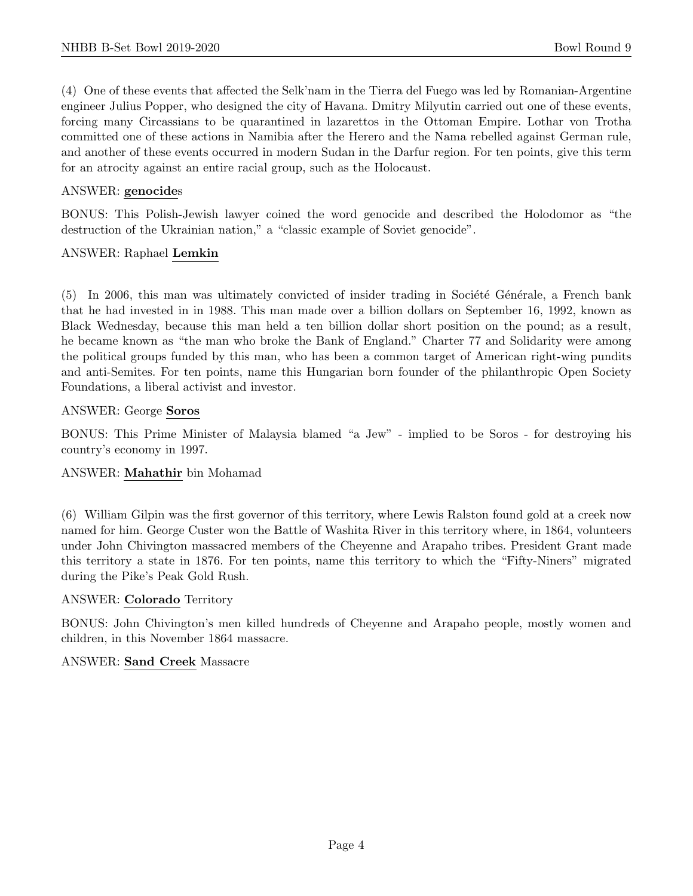(4) One of these events that affected the Selk'nam in the Tierra del Fuego was led by Romanian-Argentine engineer Julius Popper, who designed the city of Havana. Dmitry Milyutin carried out one of these events, forcing many Circassians to be quarantined in lazarettos in the Ottoman Empire. Lothar von Trotha committed one of these actions in Namibia after the Herero and the Nama rebelled against German rule, and another of these events occurred in modern Sudan in the Darfur region. For ten points, give this term for an atrocity against an entire racial group, such as the Holocaust.

## ANSWER: genocides

BONUS: This Polish-Jewish lawyer coined the word genocide and described the Holodomor as "the destruction of the Ukrainian nation," a "classic example of Soviet genocide".

## ANSWER: Raphael Lemkin

 $(5)$  In 2006, this man was ultimately convicted of insider trading in Société Générale, a French bank that he had invested in in 1988. This man made over a billion dollars on September 16, 1992, known as Black Wednesday, because this man held a ten billion dollar short position on the pound; as a result, he became known as "the man who broke the Bank of England." Charter 77 and Solidarity were among the political groups funded by this man, who has been a common target of American right-wing pundits and anti-Semites. For ten points, name this Hungarian born founder of the philanthropic Open Society Foundations, a liberal activist and investor.

## ANSWER: George Soros

BONUS: This Prime Minister of Malaysia blamed "a Jew" - implied to be Soros - for destroying his country's economy in 1997.

## ANSWER: Mahathir bin Mohamad

(6) William Gilpin was the first governor of this territory, where Lewis Ralston found gold at a creek now named for him. George Custer won the Battle of Washita River in this territory where, in 1864, volunteers under John Chivington massacred members of the Cheyenne and Arapaho tribes. President Grant made this territory a state in 1876. For ten points, name this territory to which the "Fifty-Niners" migrated during the Pike's Peak Gold Rush.

## ANSWER: Colorado Territory

BONUS: John Chivington's men killed hundreds of Cheyenne and Arapaho people, mostly women and children, in this November 1864 massacre.

## ANSWER: Sand Creek Massacre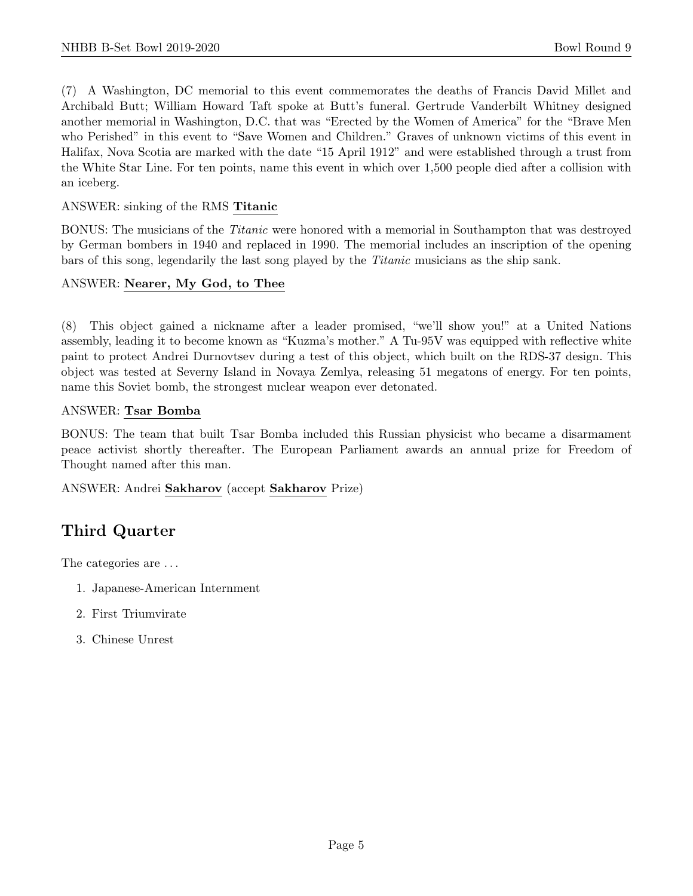(7) A Washington, DC memorial to this event commemorates the deaths of Francis David Millet and Archibald Butt; William Howard Taft spoke at Butt's funeral. Gertrude Vanderbilt Whitney designed another memorial in Washington, D.C. that was "Erected by the Women of America" for the "Brave Men who Perished" in this event to "Save Women and Children." Graves of unknown victims of this event in Halifax, Nova Scotia are marked with the date "15 April 1912" and were established through a trust from the White Star Line. For ten points, name this event in which over 1,500 people died after a collision with an iceberg.

## ANSWER: sinking of the RMS Titanic

BONUS: The musicians of the Titanic were honored with a memorial in Southampton that was destroyed by German bombers in 1940 and replaced in 1990. The memorial includes an inscription of the opening bars of this song, legendarily the last song played by the Titanic musicians as the ship sank.

## ANSWER: Nearer, My God, to Thee

(8) This object gained a nickname after a leader promised, "we'll show you!" at a United Nations assembly, leading it to become known as "Kuzma's mother." A Tu-95V was equipped with reflective white paint to protect Andrei Durnovtsev during a test of this object, which built on the RDS-37 design. This object was tested at Severny Island in Novaya Zemlya, releasing 51 megatons of energy. For ten points, name this Soviet bomb, the strongest nuclear weapon ever detonated.

## ANSWER: Tsar Bomba

BONUS: The team that built Tsar Bomba included this Russian physicist who became a disarmament peace activist shortly thereafter. The European Parliament awards an annual prize for Freedom of Thought named after this man.

ANSWER: Andrei Sakharov (accept Sakharov Prize)

# Third Quarter

The categories are  $\dots$ 

- 1. Japanese-American Internment
- 2. First Triumvirate
- 3. Chinese Unrest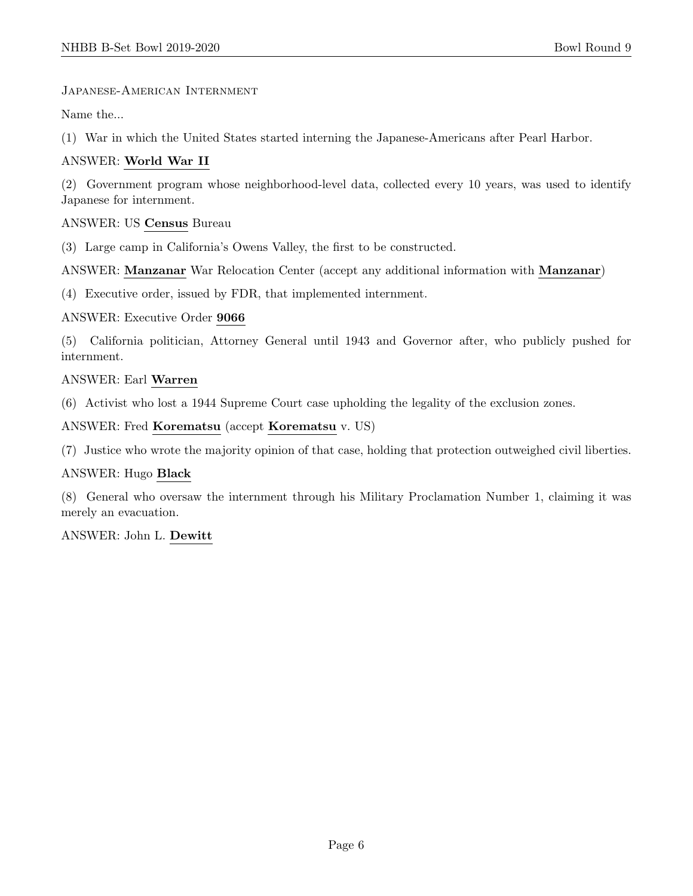Japanese-American Internment

Name the...

(1) War in which the United States started interning the Japanese-Americans after Pearl Harbor.

## ANSWER: World War II

(2) Government program whose neighborhood-level data, collected every 10 years, was used to identify Japanese for internment.

## ANSWER: US Census Bureau

(3) Large camp in California's Owens Valley, the first to be constructed.

ANSWER: Manzanar War Relocation Center (accept any additional information with Manzanar)

(4) Executive order, issued by FDR, that implemented internment.

## ANSWER: Executive Order 9066

(5) California politician, Attorney General until 1943 and Governor after, who publicly pushed for internment.

## ANSWER: Earl Warren

(6) Activist who lost a 1944 Supreme Court case upholding the legality of the exclusion zones.

ANSWER: Fred Korematsu (accept Korematsu v. US)

(7) Justice who wrote the majority opinion of that case, holding that protection outweighed civil liberties.

## ANSWER: Hugo Black

(8) General who oversaw the internment through his Military Proclamation Number 1, claiming it was merely an evacuation.

ANSWER: John L. Dewitt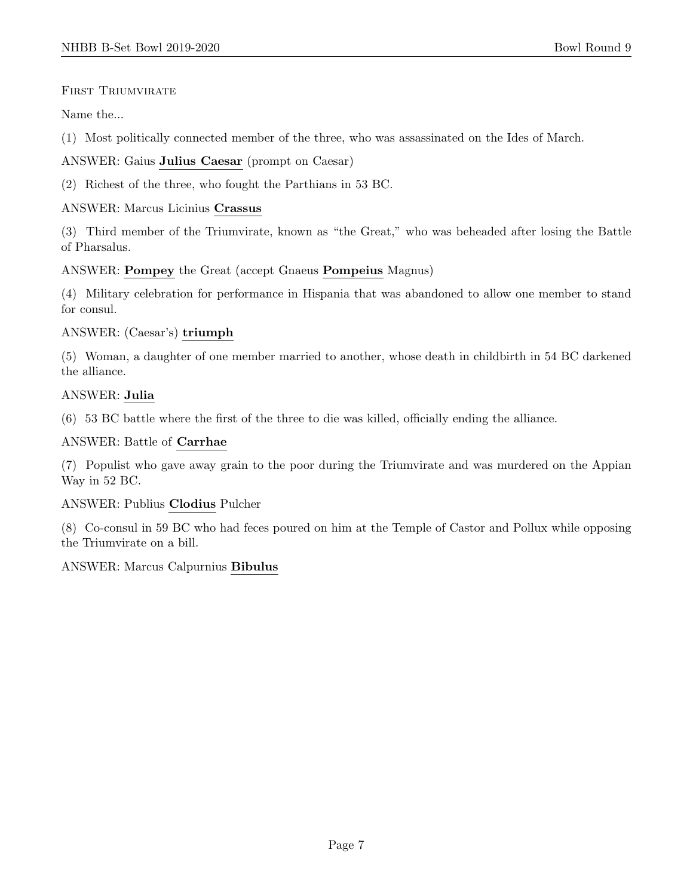## FIRST TRIUMVIRATE

Name the...

(1) Most politically connected member of the three, who was assassinated on the Ides of March.

## ANSWER: Gaius Julius Caesar (prompt on Caesar)

(2) Richest of the three, who fought the Parthians in 53 BC.

## ANSWER: Marcus Licinius Crassus

(3) Third member of the Triumvirate, known as "the Great," who was beheaded after losing the Battle of Pharsalus.

## ANSWER: Pompey the Great (accept Gnaeus Pompeius Magnus)

(4) Military celebration for performance in Hispania that was abandoned to allow one member to stand for consul.

## ANSWER: (Caesar's) triumph

(5) Woman, a daughter of one member married to another, whose death in childbirth in 54 BC darkened the alliance.

## ANSWER: Julia

(6) 53 BC battle where the first of the three to die was killed, officially ending the alliance.

## ANSWER: Battle of Carrhae

(7) Populist who gave away grain to the poor during the Triumvirate and was murdered on the Appian Way in 52 BC.

## ANSWER: Publius Clodius Pulcher

(8) Co-consul in 59 BC who had feces poured on him at the Temple of Castor and Pollux while opposing the Triumvirate on a bill.

## ANSWER: Marcus Calpurnius Bibulus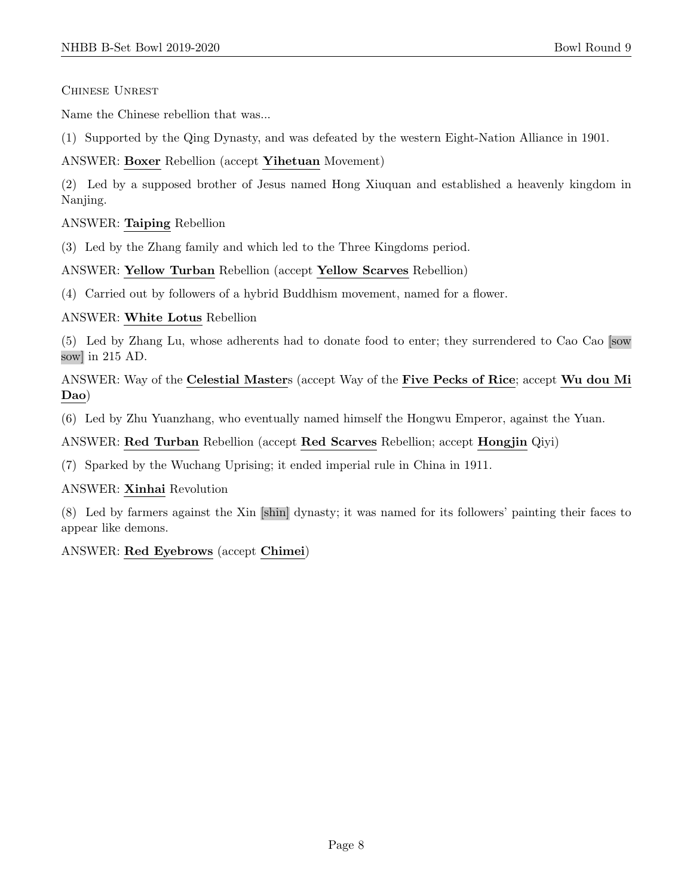Chinese Unrest

Name the Chinese rebellion that was...

(1) Supported by the Qing Dynasty, and was defeated by the western Eight-Nation Alliance in 1901.

ANSWER: Boxer Rebellion (accept Yihetuan Movement)

(2) Led by a supposed brother of Jesus named Hong Xiuquan and established a heavenly kingdom in Nanjing.

## ANSWER: Taiping Rebellion

(3) Led by the Zhang family and which led to the Three Kingdoms period.

ANSWER: Yellow Turban Rebellion (accept Yellow Scarves Rebellion)

(4) Carried out by followers of a hybrid Buddhism movement, named for a flower.

ANSWER: White Lotus Rebellion

(5) Led by Zhang Lu, whose adherents had to donate food to enter; they surrendered to Cao Cao [sow sow] in 215 AD.

ANSWER: Way of the Celestial Masters (accept Way of the Five Pecks of Rice; accept Wu dou Mi Dao)

(6) Led by Zhu Yuanzhang, who eventually named himself the Hongwu Emperor, against the Yuan.

## ANSWER: Red Turban Rebellion (accept Red Scarves Rebellion; accept Hongjin Qiyi)

(7) Sparked by the Wuchang Uprising; it ended imperial rule in China in 1911.

ANSWER: Xinhai Revolution

(8) Led by farmers against the Xin [shin] dynasty; it was named for its followers' painting their faces to appear like demons.

ANSWER: Red Eyebrows (accept Chimei)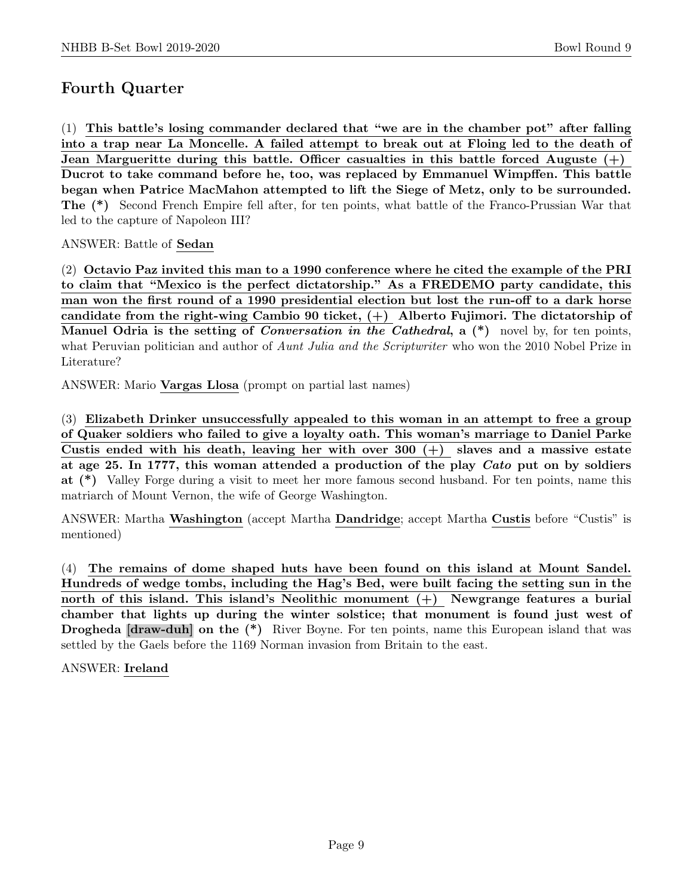# Fourth Quarter

(1) This battle's losing commander declared that "we are in the chamber pot" after falling into a trap near La Moncelle. A failed attempt to break out at Floing led to the death of Jean Margueritte during this battle. Officer casualties in this battle forced Auguste  $(+)$ Ducrot to take command before he, too, was replaced by Emmanuel Wimpffen. This battle began when Patrice MacMahon attempted to lift the Siege of Metz, only to be surrounded. The (\*) Second French Empire fell after, for ten points, what battle of the Franco-Prussian War that led to the capture of Napoleon III?

ANSWER: Battle of Sedan

(2) Octavio Paz invited this man to a 1990 conference where he cited the example of the PRI to claim that "Mexico is the perfect dictatorship." As a FREDEMO party candidate, this man won the first round of a 1990 presidential election but lost the run-off to a dark horse candidate from the right-wing Cambio 90 ticket,  $(+)$  Alberto Fujimori. The dictatorship of Manuel Odria is the setting of *Conversation in the Cathedral*,  $a$  (\*) novel by, for ten points, what Peruvian politician and author of *Aunt Julia and the Scriptwriter* who won the 2010 Nobel Prize in Literature?

ANSWER: Mario Vargas Llosa (prompt on partial last names)

(3) Elizabeth Drinker unsuccessfully appealed to this woman in an attempt to free a group of Quaker soldiers who failed to give a loyalty oath. This woman's marriage to Daniel Parke Custis ended with his death, leaving her with over 300  $(+)$  slaves and a massive estate at age 25. In 1777, this woman attended a production of the play Cato put on by soldiers at (\*) Valley Forge during a visit to meet her more famous second husband. For ten points, name this matriarch of Mount Vernon, the wife of George Washington.

ANSWER: Martha Washington (accept Martha Dandridge; accept Martha Custis before "Custis" is mentioned)

(4) The remains of dome shaped huts have been found on this island at Mount Sandel. Hundreds of wedge tombs, including the Hag's Bed, were built facing the setting sun in the north of this island. This island's Neolithic monument (+) Newgrange features a burial chamber that lights up during the winter solstice; that monument is found just west of **Drogheda [draw-duh] on the (\*)** River Boyne. For ten points, name this European island that was settled by the Gaels before the 1169 Norman invasion from Britain to the east.

ANSWER: Ireland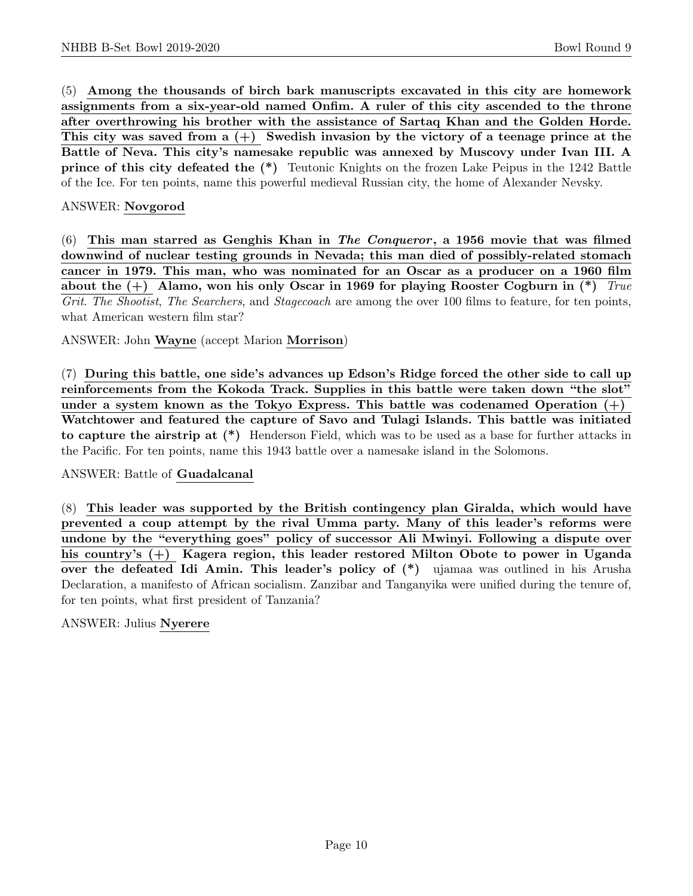(5) Among the thousands of birch bark manuscripts excavated in this city are homework assignments from a six-year-old named Onfim. A ruler of this city ascended to the throne after overthrowing his brother with the assistance of Sartaq Khan and the Golden Horde. This city was saved from a  $(+)$  Swedish invasion by the victory of a teenage prince at the Battle of Neva. This city's namesake republic was annexed by Muscovy under Ivan III. A prince of this city defeated the (\*) Teutonic Knights on the frozen Lake Peipus in the 1242 Battle of the Ice. For ten points, name this powerful medieval Russian city, the home of Alexander Nevsky.

## ANSWER: Novgorod

 $(6)$  This man starred as Genghis Khan in The Conqueror, a 1956 movie that was filmed downwind of nuclear testing grounds in Nevada; this man died of possibly-related stomach cancer in 1979. This man, who was nominated for an Oscar as a producer on a 1960 film about the  $(+)$  Alamo, won his only Oscar in 1969 for playing Rooster Cogburn in  $(*)$  True Grit. The Shootist, The Searchers, and Stagecoach are among the over 100 films to feature, for ten points, what American western film star?

ANSWER: John Wayne (accept Marion Morrison)

(7) During this battle, one side's advances up Edson's Ridge forced the other side to call up reinforcements from the Kokoda Track. Supplies in this battle were taken down "the slot" under a system known as the Tokyo Express. This battle was codenamed Operation  $(+)$ Watchtower and featured the capture of Savo and Tulagi Islands. This battle was initiated to capture the airstrip at (\*) Henderson Field, which was to be used as a base for further attacks in the Pacific. For ten points, name this 1943 battle over a namesake island in the Solomons.

## ANSWER: Battle of Guadalcanal

(8) This leader was supported by the British contingency plan Giralda, which would have prevented a coup attempt by the rival Umma party. Many of this leader's reforms were undone by the "everything goes" policy of successor Ali Mwinyi. Following a dispute over his country's (+) Kagera region, this leader restored Milton Obote to power in Uganda over the defeated Idi Amin. This leader's policy of (\*) ujamaa was outlined in his Arusha Declaration, a manifesto of African socialism. Zanzibar and Tanganyika were unified during the tenure of, for ten points, what first president of Tanzania?

## ANSWER: Julius Nyerere